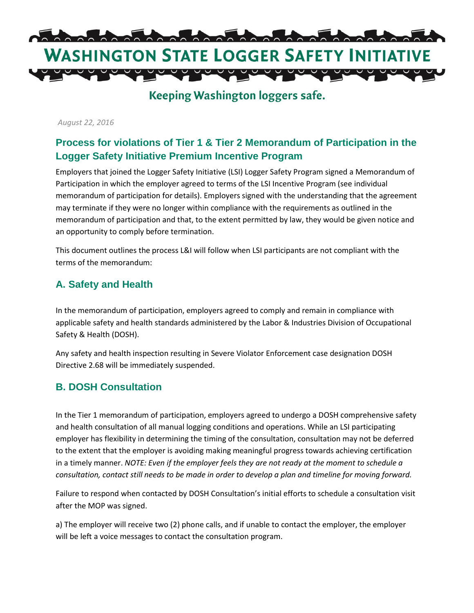

**Keeping Washington loggers safe.** 

*August 22, 2016*

### **Process for violations of Tier 1 & Tier 2 Memorandum of Participation in the Logger Safety Initiative Premium Incentive Program**

Employers that joined the Logger Safety Initiative (LSI) Logger Safety Program signed a Memorandum of Participation in which the employer agreed to terms of the LSI Incentive Program (see individual memorandum of participation for details). Employers signed with the understanding that the agreement may terminate if they were no longer within compliance with the requirements as outlined in the memorandum of participation and that, to the extent permitted by law, they would be given notice and an opportunity to comply before termination.

This document outlines the process L&I will follow when LSI participants are not compliant with the terms of the memorandum:

### **A. Safety and Health**

In the memorandum of participation, employers agreed to comply and remain in compliance with applicable safety and health standards administered by the Labor & Industries Division of Occupational Safety & Health (DOSH).

Any safety and health inspection resulting in Severe Violator Enforcement case designation DOSH Directive 2.68 will be immediately suspended.

### **B. DOSH Consultation**

In the Tier 1 memorandum of participation, employers agreed to undergo a DOSH comprehensive safety and health consultation of all manual logging conditions and operations. While an LSI participating employer has flexibility in determining the timing of the consultation, consultation may not be deferred to the extent that the employer is avoiding making meaningful progress towards achieving certification in a timely manner. *NOTE: Even if the employer feels they are not ready at the moment to schedule a consultation, contact still needs to be made in order to develop a plan and timeline for moving forward.* 

Failure to respond when contacted by DOSH Consultation's initial efforts to schedule a consultation visit after the MOP was signed.

a) The employer will receive two (2) phone calls, and if unable to contact the employer, the employer will be left a voice messages to contact the consultation program.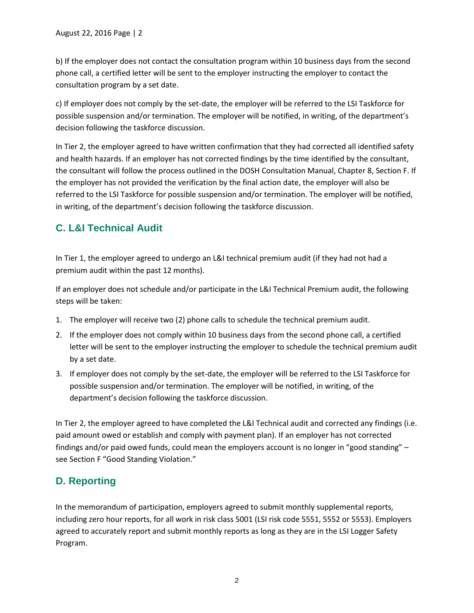b) If the employer does not contact the consultation program within 10 business days from the second phone call, a certified letter will be sent to the employer instructing the employer to contact the consultation program by a set date.

c) If employer does not comply by the set-date, the employer will be referred to the LSI Taskforce for possible suspension and/or termination. The employer will be notified, in writing, of the department's decision following the taskforce discussion.

In Tier 2, the employer agreed to have written confirmation that they had corrected all identified safety and health hazards. If an employer has not corrected findings by the time identified by the consultant, the consultant will follow the process outlined in the DOSH Consultation Manual, Chapter 8, Section F. If the employer has not provided the verification by the final action date, the employer will also be referred to the LSI Taskforce for possible suspension and/or termination. The employer will be notified, in writing, of the department's decision following the taskforce discussion.

## **C. L&I Technical Audit**

In Tier 1, the employer agreed to undergo an L&I technical premium audit (if they had not had a premium audit within the past 12 months).

If an employer does not schedule and/or participate in the L&I Technical Premium audit, the following steps will be taken:

- 1. The employer will receive two (2) phone calls to schedule the technical premium audit.
- 2. If the employer does not comply within 10 business days from the second phone call, a certified letter will be sent to the employer instructing the employer to schedule the technical premium audit by a set date.
- 3. If employer does not comply by the set-date, the employer will be referred to the LSI Taskforce for possible suspension and/or termination. The employer will be notified, in writing, of the department's decision following the taskforce discussion.

In Tier 2, the employer agreed to have completed the L&I Technical audit and corrected any findings (i.e. paid amount owed or establish and comply with payment plan). If an employer has not corrected findings and/or paid owed funds, could mean the employers account is no longer in "good standing" – see Section F "Good Standing Violation."

# **D. Reporting**

In the memorandum of participation, employers agreed to submit monthly supplemental reports, including zero hour reports, for all work in risk class 5001 (LSI risk code 5551, 5552 or 5553). Employers agreed to accurately report and submit monthly reports as long as they are in the LSI Logger Safety Program.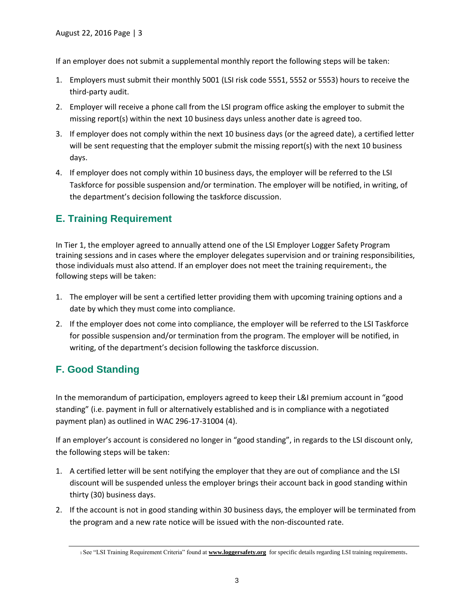If an employer does not submit a supplemental monthly report the following steps will be taken:

- 1. Employers must submit their monthly 5001 (LSI risk code 5551, 5552 or 5553) hours to receive the third-party audit.
- 2. Employer will receive a phone call from the LSI program office asking the employer to submit the missing report(s) within the next 10 business days unless another date is agreed too.
- 3. If employer does not comply within the next 10 business days (or the agreed date), a certified letter will be sent requesting that the employer submit the missing report(s) with the next 10 business days.
- 4. If employer does not comply within 10 business days, the employer will be referred to the LSI Taskforce for possible suspension and/or termination. The employer will be notified, in writing, of the department's decision following the taskforce discussion.

## **E. Training Requirement**

In Tier 1, the employer agreed to annually attend one of the LSI Employer Logger Safety Program training sessions and in cases where the employer delegates supervision and or training responsibilities, those individuals must also attend. If an employer does not meet the training requirement<sub>1</sub>, the following steps will be taken:

- 1. The employer will be sent a certified letter providing them with upcoming training options and a date by which they must come into compliance.
- 2. If the employer does not come into compliance, the employer will be referred to the LSI Taskforce for possible suspension and/or termination from the program. The employer will be notified, in writing, of the department's decision following the taskforce discussion.

# **F. Good Standing**

In the memorandum of participation, employers agreed to keep their L&I premium account in "good standing" (i.e. payment in full or alternatively established and is in compliance with a negotiated payment plan) as outlined in WAC 296-17-31004 (4).

If an employer's account is considered no longer in "good standing", in regards to the LSI discount only, the following steps will be taken:

- 1. A certified letter will be sent notifying the employer that they are out of compliance and the LSI discount will be suspended unless the employer brings their account back in good standing within thirty (30) business days.
- 2. If the account is not in good standing within 30 business days, the employer will be terminated from the program and a new rate notice will be issued with the non-discounted rate.

<sup>1</sup> See "LSI Training Requirement Criteria" found at **[www.loggersafety.org](http://www.loggersafety.org/)** for specific details regarding LSI training requirements.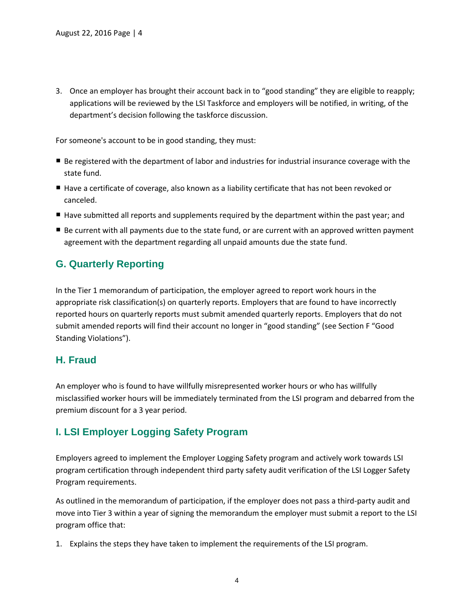3. Once an employer has brought their account back in to "good standing" they are eligible to reapply; applications will be reviewed by the LSI Taskforce and employers will be notified, in writing, of the department's decision following the taskforce discussion.

For someone's account to be in good standing, they must:

- Be registered with the department of labor and industries for industrial insurance coverage with the state fund.
- Have a certificate of coverage, also known as a liability certificate that has not been revoked or canceled.
- Have submitted all reports and supplements required by the department within the past year; and
- Be current with all payments due to the state fund, or are current with an approved written payment agreement with the department regarding all unpaid amounts due the state fund.

### **G. Quarterly Reporting**

In the Tier 1 memorandum of participation, the employer agreed to report work hours in the appropriate risk classification(s) on quarterly reports. Employers that are found to have incorrectly reported hours on quarterly reports must submit amended quarterly reports. Employers that do not submit amended reports will find their account no longer in "good standing" (see Section F "Good Standing Violations").

### **H. Fraud**

An employer who is found to have willfully misrepresented worker hours or who has willfully misclassified worker hours will be immediately terminated from the LSI program and debarred from the premium discount for a 3 year period.

### **I. LSI Employer Logging Safety Program**

Employers agreed to implement the Employer Logging Safety program and actively work towards LSI program certification through independent third party safety audit verification of the LSI Logger Safety Program requirements.

As outlined in the memorandum of participation, if the employer does not pass a third-party audit and move into Tier 3 within a year of signing the memorandum the employer must submit a report to the LSI program office that:

1. Explains the steps they have taken to implement the requirements of the LSI program.